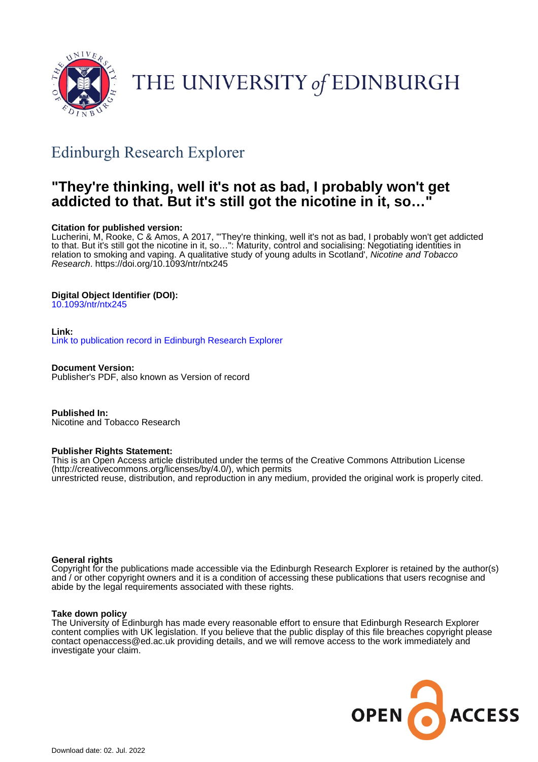

# THE UNIVERSITY of EDINBURGH

## Edinburgh Research Explorer

## **"They're thinking, well it's not as bad, I probably won't get addicted to that. But it's still got the nicotine in it, so…"**

#### **Citation for published version:**

Lucherini, M, Rooke, C & Amos, A 2017, '"They're thinking, well it's not as bad, I probably won't get addicted to that. But it's still got the nicotine in it, so…": Maturity, control and socialising: Negotiating identities in relation to smoking and vaping. A qualitative study of young adults in Scotland', Nicotine and Tobacco Research.<https://doi.org/10.1093/ntr/ntx245>

#### **Digital Object Identifier (DOI):**

[10.1093/ntr/ntx245](https://doi.org/10.1093/ntr/ntx245)

#### **Link:**

[Link to publication record in Edinburgh Research Explorer](https://www.research.ed.ac.uk/en/publications/d9581ab4-b355-463a-a8e5-d3881bc51ed9)

**Document Version:** Publisher's PDF, also known as Version of record

**Published In:** Nicotine and Tobacco Research

#### **Publisher Rights Statement:**

This is an Open Access article distributed under the terms of the Creative Commons Attribution License (http://creativecommons.org/licenses/by/4.0/), which permits unrestricted reuse, distribution, and reproduction in any medium, provided the original work is properly cited.

#### **General rights**

Copyright for the publications made accessible via the Edinburgh Research Explorer is retained by the author(s) and / or other copyright owners and it is a condition of accessing these publications that users recognise and abide by the legal requirements associated with these rights.

#### **Take down policy**

The University of Edinburgh has made every reasonable effort to ensure that Edinburgh Research Explorer content complies with UK legislation. If you believe that the public display of this file breaches copyright please contact openaccess@ed.ac.uk providing details, and we will remove access to the work immediately and investigate your claim.

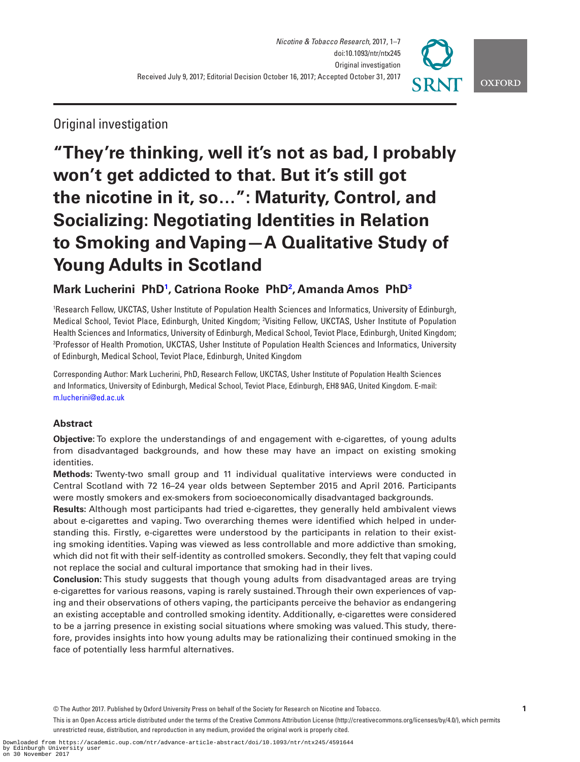

### Original investigation

## **"They're thinking, well it's not as bad, I probably won't get addicted to that. But it's still got the nicotine in it, so…": Maturity, Control, and Socializing: Negotiating Identities in Relation to Smoking and Vaping—A Qualitative Study of Young Adults in Scotland**

### **Mark Lucherini PhD[1](#page-1-0) , Catriona Rooke Ph[D2](#page-1-1) , Amanda Amos Ph[D3](#page-1-2)**

<span id="page-1-1"></span><span id="page-1-0"></span>1 Research Fellow, UKCTAS, Usher Institute of Population Health Sciences and Informatics, University of Edinburgh, Medical School, Teviot Place, Edinburgh, United Kingdom; 2 Visiting Fellow, UKCTAS, Usher Institute of Population Health Sciences and Informatics, University of Edinburgh, Medical School, Teviot Place, Edinburgh, United Kingdom; 3 Professor of Health Promotion, UKCTAS, Usher Institute of Population Health Sciences and Informatics, University of Edinburgh, Medical School, Teviot Place, Edinburgh, United Kingdom

<span id="page-1-2"></span>Corresponding Author: Mark Lucherini, PhD, Research Fellow, UKCTAS, Usher Institute of Population Health Sciences and Informatics, University of Edinburgh, Medical School, Teviot Place, Edinburgh, EH8 9AG, United Kingdom. E-mail: [m.lucherini@ed.ac.uk](mailto:m.lucherini@ed.ac.uk?subject=)

#### **Abstract**

**Objective:** To explore the understandings of and engagement with e-cigarettes, of young adults from disadvantaged backgrounds, and how these may have an impact on existing smoking identities.

**Methods:** Twenty-two small group and 11 individual qualitative interviews were conducted in Central Scotland with 72 16–24 year olds between September 2015 and April 2016. Participants were mostly smokers and ex-smokers from socioeconomically disadvantaged backgrounds.

**Results:** Although most participants had tried e-cigarettes, they generally held ambivalent views about e-cigarettes and vaping. Two overarching themes were identified which helped in understanding this. Firstly, e-cigarettes were understood by the participants in relation to their existing smoking identities. Vaping was viewed as less controllable and more addictive than smoking, which did not fit with their self-identity as controlled smokers. Secondly, they felt that vaping could not replace the social and cultural importance that smoking had in their lives.

**Conclusion:** This study suggests that though young adults from disadvantaged areas are trying e-cigarettes for various reasons, vaping is rarely sustained. Through their own experiences of vaping and their observations of others vaping, the participants perceive the behavior as endangering an existing acceptable and controlled smoking identity. Additionally, e-cigarettes were considered to be a jarring presence in existing social situations where smoking was valued. This study, therefore, provides insights into how young adults may be rationalizing their continued smoking in the face of potentially less harmful alternatives.

© The Author 2017. Published by Oxford University Press on behalf of the Society for Research on Nicotine and Tobacco. **1**

This is an Open Access article distributed under the terms of the Creative Commons Attribution License (http://creativecommons.org/licenses/by/4.0/), which permits unrestricted reuse, distribution, and reproduction in any medium, provided the original work is properly cited.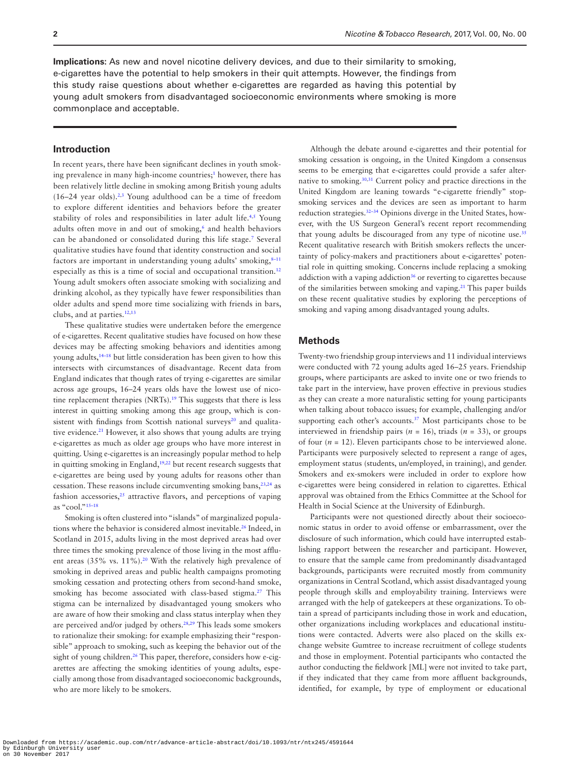**Implications:** As new and novel nicotine delivery devices, and due to their similarity to smoking, e-cigarettes have the potential to help smokers in their quit attempts. However, the findings from this study raise questions about whether e-cigarettes are regarded as having this potential by young adult smokers from disadvantaged socioeconomic environments where smoking is more commonplace and acceptable.

#### **Introduction**

In recent years, there have been significant declines in youth smok-ing prevalence in many high-income countries;<sup>[1](#page-6-0)</sup> however, there has been relatively little decline in smoking among British young adults  $(16-24 \text{ year olds}).^{2,3}$  $(16-24 \text{ year olds}).^{2,3}$  $(16-24 \text{ year olds}).^{2,3}$  $(16-24 \text{ year olds}).^{2,3}$  $(16-24 \text{ year olds}).^{2,3}$  Young adulthood can be a time of freedom to explore different identities and behaviors before the greater stability of roles and responsibilities in later adult life.<sup>[4,](#page-6-3)[5](#page-6-4)</sup> Young adults often move in and out of smoking,<sup>6</sup> and health behaviors can be abandoned or consolidated during this life stage.[7](#page-6-6) Several qualitative studies have found that identity construction and social factors are important in understanding young adults' smoking, 8-11 especially as this is a time of social and occupational transition.<sup>12</sup> Young adult smokers often associate smoking with socializing and drinking alcohol, as they typically have fewer responsibilities than older adults and spend more time socializing with friends in bars, clubs, and at parties.[12](#page-6-8)[,13](#page-6-9)

These qualitative studies were undertaken before the emergence of e-cigarettes. Recent qualitative studies have focused on how these devices may be affecting smoking behaviors and identities among young adults,<sup>14–18</sup> but little consideration has been given to how this intersects with circumstances of disadvantage. Recent data from England indicates that though rates of trying e-cigarettes are similar across age groups, 16–24 years olds have the lowest use of nicotine replacement therapies (NRTs).<sup>19</sup> This suggests that there is less interest in quitting smoking among this age group, which is consistent with findings from Scottish national surveys $20$  and qualitative evidence.<sup>21</sup> However, it also shows that young adults are trying e-cigarettes as much as older age groups who have more interest in quitting. Using e-cigarettes is an increasingly popular method to help in quitting smoking in England,<sup>[19,](#page-6-11)[22](#page-6-14)</sup> but recent research suggests that e-cigarettes are being used by young adults for reasons other than cessation. These reasons include circumventing smoking bans,<sup>[23,](#page-7-0)[24](#page-7-1)</sup> as fashion accessories, $25$  attractive flavors, and perceptions of vaping as "cool.["15–18](#page-6-15)

Smoking is often clustered into "islands" of marginalized popula-tions where the behavior is considered almost inevitable.<sup>[26](#page-7-3)</sup> Indeed, in Scotland in 2015, adults living in the most deprived areas had over three times the smoking prevalence of those living in the most affluent areas (35% vs. 11%).<sup>20</sup> With the relatively high prevalence of smoking in deprived areas and public health campaigns promoting smoking cessation and protecting others from second-hand smoke, smoking has become associated with class-based stigma.<sup>[27](#page-7-4)</sup> This stigma can be internalized by disadvantaged young smokers who are aware of how their smoking and class status interplay when they are perceived and/or judged by others.<sup>28,[29](#page-7-6)</sup> This leads some smokers to rationalize their smoking: for example emphasizing their "responsible" approach to smoking, such as keeping the behavior out of the sight of young children.<sup>26</sup> This paper, therefore, considers how e-cigarettes are affecting the smoking identities of young adults, especially among those from disadvantaged socioeconomic backgrounds, who are more likely to be smokers.

Although the debate around e-cigarettes and their potential for smoking cessation is ongoing, in the United Kingdom a consensus seems to be emerging that e-cigarettes could provide a safer alternative to smoking[.30,](#page-7-7)[31](#page-7-8) Current policy and practice directions in the United Kingdom are leaning towards "e-cigarette friendly" stopsmoking services and the devices are seen as important to harm reduction strategies.[32–34](#page-7-9) Opinions diverge in the United States, however, with the US Surgeon General's recent report recommending that young adults be discouraged from any type of nicotine use.<sup>35</sup> Recent qualitative research with British smokers reflects the uncertainty of policy-makers and practitioners about e-cigarettes' potential role in quitting smoking. Concerns include replacing a smoking addiction with a vaping addiction<sup>36</sup> or reverting to cigarettes because of the similarities between smoking and vaping.[21](#page-6-13) This paper builds on these recent qualitative studies by exploring the perceptions of smoking and vaping among disadvantaged young adults.

#### **Methods**

Twenty-two friendship group interviews and 11 individual interviews were conducted with 72 young adults aged 16–25 years. Friendship groups, where participants are asked to invite one or two friends to take part in the interview, have proven effective in previous studies as they can create a more naturalistic setting for young participants when talking about tobacco issues; for example, challenging and/or supporting each other's accounts.<sup>37</sup> Most participants chose to be interviewed in friendship pairs ( $n = 16$ ), triads ( $n = 33$ ), or groups of four  $(n = 12)$ . Eleven participants chose to be interviewed alone. Participants were purposively selected to represent a range of ages, employment status (students, un/employed, in training), and gender. Smokers and ex-smokers were included in order to explore how e-cigarettes were being considered in relation to cigarettes. Ethical approval was obtained from the Ethics Committee at the School for Health in Social Science at the University of Edinburgh.

Participants were not questioned directly about their socioeconomic status in order to avoid offense or embarrassment, over the disclosure of such information, which could have interrupted establishing rapport between the researcher and participant. However, to ensure that the sample came from predominantly disadvantaged backgrounds, participants were recruited mostly from community organizations in Central Scotland, which assist disadvantaged young people through skills and employability training. Interviews were arranged with the help of gatekeepers at these organizations. To obtain a spread of participants including those in work and education, other organizations including workplaces and educational institutions were contacted. Adverts were also placed on the skills exchange website Gumtree to increase recruitment of college students and those in employment. Potential participants who contacted the author conducting the fieldwork [ML] were not invited to take part, if they indicated that they came from more affluent backgrounds, identified, for example, by type of employment or educational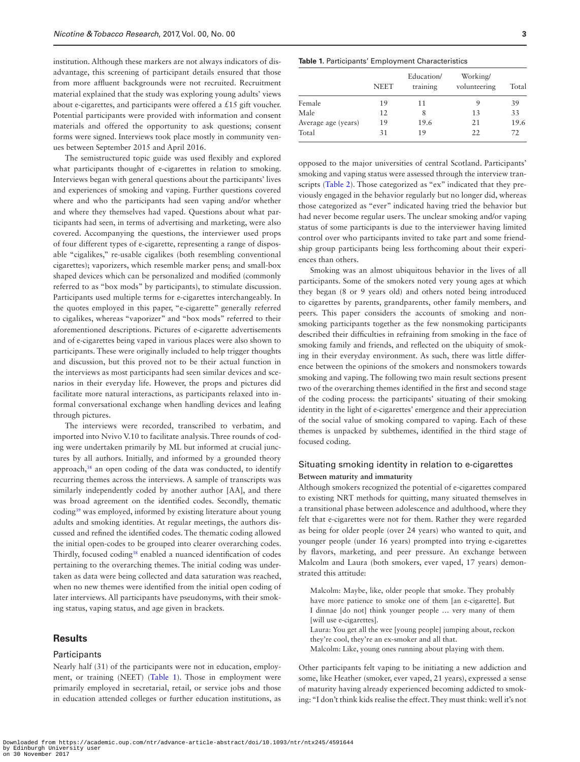institution. Although these markers are not always indicators of disadvantage, this screening of participant details ensured that those from more affluent backgrounds were not recruited. Recruitment material explained that the study was exploring young adults' views about e-cigarettes, and participants were offered a £15 gift voucher. Potential participants were provided with information and consent materials and offered the opportunity to ask questions; consent forms were signed. Interviews took place mostly in community venues between September 2015 and April 2016.

The semistructured topic guide was used flexibly and explored what participants thought of e-cigarettes in relation to smoking. Interviews began with general questions about the participants' lives and experiences of smoking and vaping. Further questions covered where and who the participants had seen vaping and/or whether and where they themselves had vaped. Questions about what participants had seen, in terms of advertising and marketing, were also covered. Accompanying the questions, the interviewer used props of four different types of e-cigarette, representing a range of disposable "cigalikes," re-usable cigalikes (both resembling conventional cigarettes); vaporizers, which resemble marker pens; and small-box shaped devices which can be personalized and modified (commonly referred to as "box mods" by participants), to stimulate discussion. Participants used multiple terms for e-cigarettes interchangeably. In the quotes employed in this paper, "e-cigarette" generally referred to cigalikes, whereas "vaporizer" and "box mods" referred to their aforementioned descriptions. Pictures of e-cigarette advertisements and of e-cigarettes being vaped in various places were also shown to participants. These were originally included to help trigger thoughts and discussion, but this proved not to be their actual function in the interviews as most participants had seen similar devices and scenarios in their everyday life. However, the props and pictures did facilitate more natural interactions, as participants relaxed into informal conversational exchange when handling devices and leafing through pictures.

The interviews were recorded, transcribed to verbatim, and imported into Nvivo V.10 to facilitate analysis. Three rounds of coding were undertaken primarily by ML but informed at crucial junctures by all authors. Initially, and informed by a grounded theory approach,<sup>38</sup> an open coding of the data was conducted, to identify recurring themes across the interviews. A sample of transcripts was similarly independently coded by another author [AA], and there was broad agreement on the identified codes. Secondly, thematic coding[39](#page-7-14) was employed, informed by existing literature about young adults and smoking identities. At regular meetings, the authors discussed and refined the identified codes. The thematic coding allowed the initial open-codes to be grouped into clearer overarching codes. Thirdly, focused coding<sup>38</sup> enabled a nuanced identification of codes pertaining to the overarching themes. The initial coding was undertaken as data were being collected and data saturation was reached, when no new themes were identified from the initial open coding of later interviews. All participants have pseudonyms, with their smoking status, vaping status, and age given in brackets.

#### **Results**

#### **Participants**

Nearly half (31) of the participants were not in education, employment, or training (NEET) [\(Table 1\)](#page-3-0). Those in employment were primarily employed in secretarial, retail, or service jobs and those in education attended colleges or further education institutions, as

#### <span id="page-3-0"></span>**Table 1.** Participants' Employment Characteristics

|                     | <b>NEET</b> | Education/<br>training | Working/<br>volunteering | Total |
|---------------------|-------------|------------------------|--------------------------|-------|
| Female              | 19          | 11                     | 9                        | 39    |
| Male                | 12          |                        | 13                       | 33    |
| Average age (years) | 19          | 19.6                   | 21                       | 19.6  |
| Total               | 31          | 19                     | 22                       | 72    |

opposed to the major universities of central Scotland. Participants' smoking and vaping status were assessed through the interview transcripts [\(Table 2\)](#page-4-0). Those categorized as "ex" indicated that they previously engaged in the behavior regularly but no longer did, whereas those categorized as "ever" indicated having tried the behavior but had never become regular users. The unclear smoking and/or vaping status of some participants is due to the interviewer having limited control over who participants invited to take part and some friendship group participants being less forthcoming about their experiences than others.

Smoking was an almost ubiquitous behavior in the lives of all participants. Some of the smokers noted very young ages at which they began (8 or 9 years old) and others noted being introduced to cigarettes by parents, grandparents, other family members, and peers. This paper considers the accounts of smoking and nonsmoking participants together as the few nonsmoking participants described their difficulties in refraining from smoking in the face of smoking family and friends, and reflected on the ubiquity of smoking in their everyday environment. As such, there was little difference between the opinions of the smokers and nonsmokers towards smoking and vaping. The following two main result sections present two of the overarching themes identified in the first and second stage of the coding process: the participants' situating of their smoking identity in the light of e-cigarettes' emergence and their appreciation of the social value of smoking compared to vaping. Each of these themes is unpacked by subthemes, identified in the third stage of focused coding.

#### Situating smoking identity in relation to e-cigarettes **Between maturity and immaturity**

Although smokers recognized the potential of e-cigarettes compared to existing NRT methods for quitting, many situated themselves in a transitional phase between adolescence and adulthood, where they felt that e-cigarettes were not for them. Rather they were regarded as being for older people (over 24 years) who wanted to quit, and younger people (under 16 years) prompted into trying e-cigarettes by flavors, marketing, and peer pressure. An exchange between Malcolm and Laura (both smokers, ever vaped, 17 years) demonstrated this attitude:

Malcolm: Maybe, like, older people that smoke. They probably have more patience to smoke one of them [an e-cigarette]. But I dinnae [do not] think younger people … very many of them [will use e-cigarettes].

Laura: You get all the wee [young people] jumping about, reckon they're cool, they're an ex-smoker and all that.

Malcolm: Like, young ones running about playing with them.

Other participants felt vaping to be initiating a new addiction and some, like Heather (smoker, ever vaped, 21 years), expressed a sense of maturity having already experienced becoming addicted to smoking: "I don't think kids realise the effect. They must think: well it's not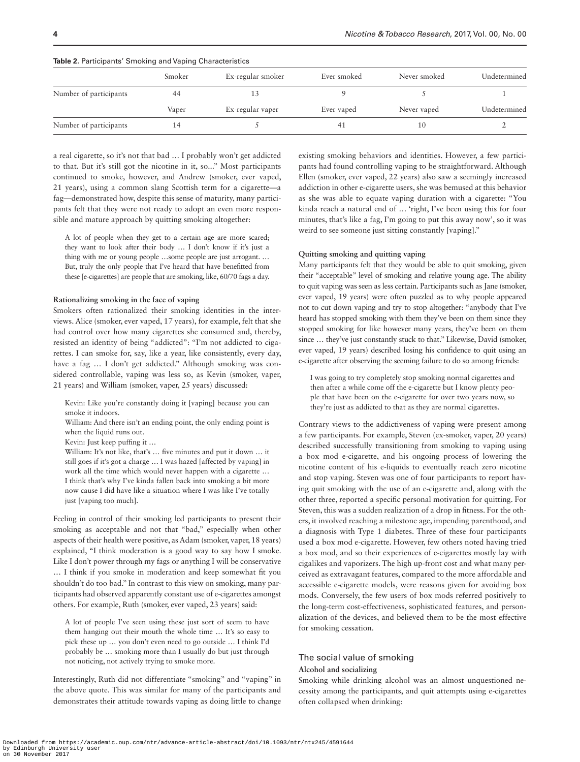|                        | Smoker | Ex-regular smoker | Ever smoked | Never smoked | Undetermined |
|------------------------|--------|-------------------|-------------|--------------|--------------|
| Number of participants | 44     |                   |             |              |              |
|                        | Vaper  | Ex-regular vaper  | Ever vaped  | Never vaped  | Undetermined |
| Number of participants |        |                   | 41          | 10           |              |

#### <span id="page-4-0"></span>**Table 2.** Participants' Smoking and Vaping Characteristics

a real cigarette, so it's not that bad … I probably won't get addicted to that. But it's still got the nicotine in it, so..." Most participants continued to smoke, however, and Andrew (smoker, ever vaped, 21 years), using a common slang Scottish term for a cigarette—a fag—demonstrated how, despite this sense of maturity, many participants felt that they were not ready to adopt an even more responsible and mature approach by quitting smoking altogether:

A lot of people when they get to a certain age are more scared; they want to look after their body … I don't know if it's just a thing with me or young people …some people are just arrogant. … But, truly the only people that I've heard that have benefitted from these [e-cigarettes] are people that are smoking, like, 60/70 fags a day.

#### **Rationalizing smoking in the face of vaping**

Smokers often rationalized their smoking identities in the interviews. Alice (smoker, ever vaped, 17 years), for example, felt that she had control over how many cigarettes she consumed and, thereby, resisted an identity of being "addicted": "I'm not addicted to cigarettes. I can smoke for, say, like a year, like consistently, every day, have a fag ... I don't get addicted." Although smoking was considered controllable, vaping was less so, as Kevin (smoker, vaper, 21 years) and William (smoker, vaper, 25 years) discussed:

Kevin: Like you're constantly doing it [vaping] because you can smoke it indoors.

William: And there isn't an ending point, the only ending point is when the liquid runs out.

Kevin: Just keep puffing it …

William: It's not like, that's ... five minutes and put it down ... it still goes if it's got a charge … I was hazed [affected by vaping] in work all the time which would never happen with a cigarette … I think that's why I've kinda fallen back into smoking a bit more now cause I did have like a situation where I was like I've totally just [vaping too much].

Feeling in control of their smoking led participants to present their smoking as acceptable and not that "bad," especially when other aspects of their health were positive, as Adam (smoker, vaper, 18 years) explained, "I think moderation is a good way to say how I smoke. Like I don't power through my fags or anything I will be conservative … I think if you smoke in moderation and keep somewhat fit you shouldn't do too bad." In contrast to this view on smoking, many participants had observed apparently constant use of e-cigarettes amongst others. For example, Ruth (smoker, ever vaped, 23 years) said:

A lot of people I've seen using these just sort of seem to have them hanging out their mouth the whole time … It's so easy to pick these up … you don't even need to go outside … I think I'd probably be … smoking more than I usually do but just through not noticing, not actively trying to smoke more.

Interestingly, Ruth did not differentiate "smoking" and "vaping" in the above quote. This was similar for many of the participants and demonstrates their attitude towards vaping as doing little to change existing smoking behaviors and identities. However, a few participants had found controlling vaping to be straightforward. Although Ellen (smoker, ever vaped, 22 years) also saw a seemingly increased addiction in other e-cigarette users, she was bemused at this behavior as she was able to equate vaping duration with a cigarette: "You kinda reach a natural end of … 'right, I've been using this for four minutes, that's like a fag, I'm going to put this away now', so it was weird to see someone just sitting constantly [vaping]."

#### **Quitting smoking and quitting vaping**

Many participants felt that they would be able to quit smoking, given their "acceptable" level of smoking and relative young age. The ability to quit vaping was seen as less certain. Participants such as Jane (smoker, ever vaped, 19 years) were often puzzled as to why people appeared not to cut down vaping and try to stop altogether: "anybody that I've heard has stopped smoking with them they've been on them since they stopped smoking for like however many years, they've been on them since ... they've just constantly stuck to that." Likewise, David (smoker, ever vaped, 19 years) described losing his confidence to quit using an e-cigarette after observing the seeming failure to do so among friends:

I was going to try completely stop smoking normal cigarettes and then after a while come off the e-cigarette but I know plenty people that have been on the e-cigarette for over two years now, so they're just as addicted to that as they are normal cigarettes.

Contrary views to the addictiveness of vaping were present among a few participants. For example, Steven (ex-smoker, vaper, 20 years) described successfully transitioning from smoking to vaping using a box mod e-cigarette, and his ongoing process of lowering the nicotine content of his e-liquids to eventually reach zero nicotine and stop vaping. Steven was one of four participants to report having quit smoking with the use of an e-cigarette and, along with the other three, reported a specific personal motivation for quitting. For Steven, this was a sudden realization of a drop in fitness. For the others, it involved reaching a milestone age, impending parenthood, and a diagnosis with Type 1 diabetes. Three of these four participants used a box mod e-cigarette. However, few others noted having tried a box mod, and so their experiences of e-cigarettes mostly lay with cigalikes and vaporizers. The high up-front cost and what many perceived as extravagant features, compared to the more affordable and accessible e-cigarette models, were reasons given for avoiding box mods. Conversely, the few users of box mods referred positively to the long-term cost-effectiveness, sophisticated features, and personalization of the devices, and believed them to be the most effective for smoking cessation.

#### The social value of smoking **Alcohol and socializing**

Smoking while drinking alcohol was an almost unquestioned necessity among the participants, and quit attempts using e-cigarettes often collapsed when drinking: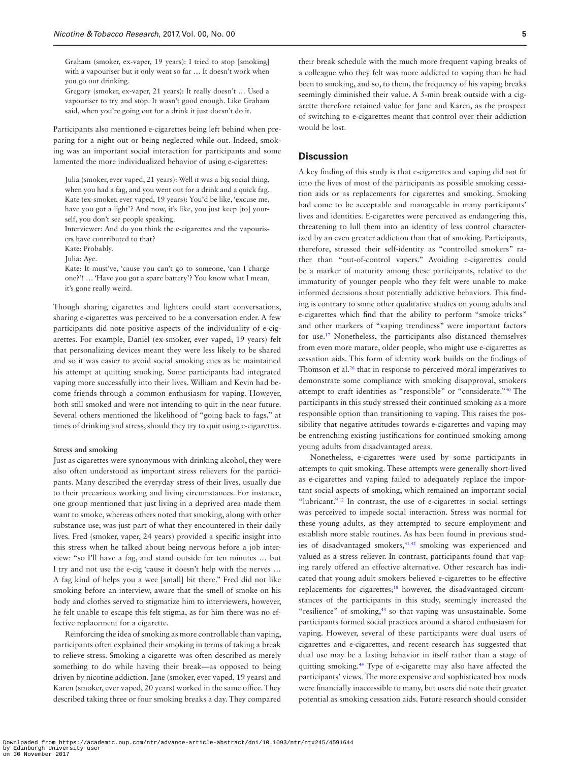Graham (smoker, ex-vaper, 19 years): I tried to stop [smoking] with a vapouriser but it only went so far … It doesn't work when you go out drinking.

Gregory (smoker, ex-vaper, 21 years): It really doesn't … Used a vapouriser to try and stop. It wasn't good enough. Like Graham said, when you're going out for a drink it just doesn't do it.

Participants also mentioned e-cigarettes being left behind when preparing for a night out or being neglected while out. Indeed, smoking was an important social interaction for participants and some lamented the more individualized behavior of using e-cigarettes:

Julia (smoker, ever vaped, 21 years): Well it was a big social thing, when you had a fag, and you went out for a drink and a quick fag. Kate (ex-smoker, ever vaped, 19 years): You'd be like, 'excuse me, have you got a light'? And now, it's like, you just keep [to] yourself, you don't see people speaking.

Interviewer: And do you think the e-cigarettes and the vapourisers have contributed to that?

Kate: Probably.

Julia: Aye.

Kate: It must've, 'cause you can't go to someone, 'can I charge one?'! … 'Have you got a spare battery'? You know what I mean, it's gone really weird.

Though sharing cigarettes and lighters could start conversations, sharing e-cigarettes was perceived to be a conversation ender. A few participants did note positive aspects of the individuality of e-cigarettes. For example, Daniel (ex-smoker, ever vaped, 19 years) felt that personalizing devices meant they were less likely to be shared and so it was easier to avoid social smoking cues as he maintained his attempt at quitting smoking. Some participants had integrated vaping more successfully into their lives. William and Kevin had become friends through a common enthusiasm for vaping. However, both still smoked and were not intending to quit in the near future. Several others mentioned the likelihood of "going back to fags," at times of drinking and stress, should they try to quit using e-cigarettes.

#### **Stress and smoking**

Just as cigarettes were synonymous with drinking alcohol, they were also often understood as important stress relievers for the participants. Many described the everyday stress of their lives, usually due to their precarious working and living circumstances. For instance, one group mentioned that just living in a deprived area made them want to smoke, whereas others noted that smoking, along with other substance use, was just part of what they encountered in their daily lives. Fred (smoker, vaper, 24 years) provided a specific insight into this stress when he talked about being nervous before a job interview: "so I'll have a fag, and stand outside for ten minutes … but I try and not use the e-cig 'cause it doesn't help with the nerves … A fag kind of helps you a wee [small] bit there." Fred did not like smoking before an interview, aware that the smell of smoke on his body and clothes served to stigmatize him to interviewers, however, he felt unable to escape this felt stigma, as for him there was no effective replacement for a cigarette.

Reinforcing the idea of smoking as more controllable than vaping, participants often explained their smoking in terms of taking a break to relieve stress. Smoking a cigarette was often described as merely something to do while having their break—as opposed to being driven by nicotine addiction. Jane (smoker, ever vaped, 19 years) and Karen (smoker, ever vaped, 20 years) worked in the same office. They described taking three or four smoking breaks a day. They compared their break schedule with the much more frequent vaping breaks of a colleague who they felt was more addicted to vaping than he had been to smoking, and so, to them, the frequency of his vaping breaks seemingly diminished their value. A 5-min break outside with a cigarette therefore retained value for Jane and Karen, as the prospect of switching to e-cigarettes meant that control over their addiction would be lost.

#### **Discussion**

A key finding of this study is that e-cigarettes and vaping did not fit into the lives of most of the participants as possible smoking cessation aids or as replacements for cigarettes and smoking. Smoking had come to be acceptable and manageable in many participants' lives and identities. E-cigarettes were perceived as endangering this, threatening to lull them into an identity of less control characterized by an even greater addiction than that of smoking. Participants, therefore, stressed their self-identity as "controlled smokers" rather than "out-of-control vapers." Avoiding e-cigarettes could be a marker of maturity among these participants, relative to the immaturity of younger people who they felt were unable to make informed decisions about potentially addictive behaviors. This finding is contrary to some other qualitative studies on young adults and e-cigarettes which find that the ability to perform "smoke tricks" and other markers of "vaping trendiness" were important factors for use[.17](#page-6-16) Nonetheless, the participants also distanced themselves from even more mature, older people, who might use e-cigarettes as cessation aids. This form of identity work builds on the findings of Thomson et al.<sup>26</sup> that in response to perceived moral imperatives to demonstrate some compliance with smoking disapproval, smokers attempt to craft identities as "responsible" or "considerate.["40](#page-7-15) The participants in this study stressed their continued smoking as a more responsible option than transitioning to vaping. This raises the possibility that negative attitudes towards e-cigarettes and vaping may be entrenching existing justifications for continued smoking among young adults from disadvantaged areas.

Nonetheless, e-cigarettes were used by some participants in attempts to quit smoking. These attempts were generally short-lived as e-cigarettes and vaping failed to adequately replace the important social aspects of smoking, which remained an important social "lubricant."<sup>[12](#page-6-8)</sup> In contrast, the use of e-cigarettes in social settings was perceived to impede social interaction. Stress was normal for these young adults, as they attempted to secure employment and establish more stable routines. As has been found in previous stud-ies of disadvantaged smokers,<sup>41,[42](#page-7-17)</sup> smoking was experienced and valued as a stress reliever. In contrast, participants found that vaping rarely offered an effective alternative. Other research has indicated that young adult smokers believed e-cigarettes to be effective replacements for cigarettes;<sup>[18](#page-6-17)</sup> however, the disadvantaged circumstances of the participants in this study, seemingly increased the "resilience" of smoking,<sup>43</sup> so that vaping was unsustainable. Some participants formed social practices around a shared enthusiasm for vaping. However, several of these participants were dual users of cigarettes and e-cigarettes, and recent research has suggested that dual use may be a lasting behavior in itself rather than a stage of quitting smoking.[44](#page-7-19) Type of e-cigarette may also have affected the participants' views. The more expensive and sophisticated box mods were financially inaccessible to many, but users did note their greater potential as smoking cessation aids. Future research should consider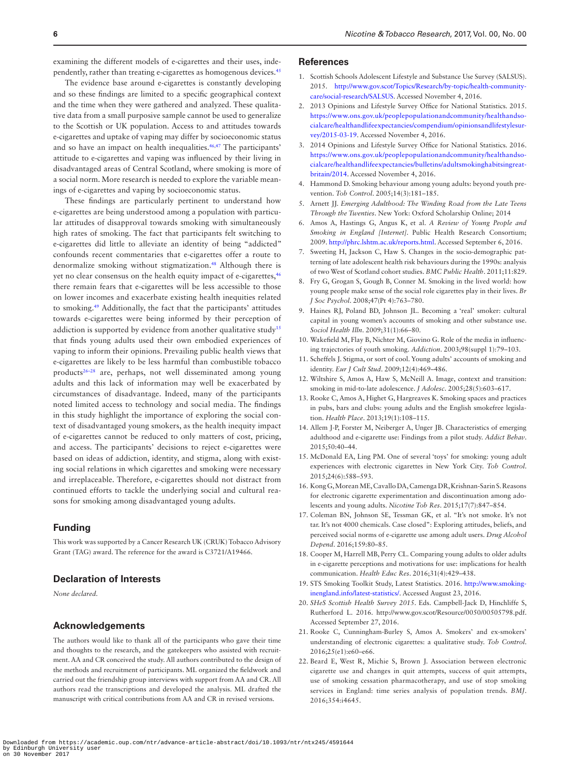examining the different models of e-cigarettes and their uses, independently, rather than treating e-cigarettes as homogenous devices[.45](#page-7-20)

The evidence base around e-cigarettes is constantly developing and so these findings are limited to a specific geographical context and the time when they were gathered and analyzed. These qualitative data from a small purposive sample cannot be used to generalize to the Scottish or UK population. Access to and attitudes towards e-cigarettes and uptake of vaping may differ by socioeconomic status and so have an impact on health inequalities.<sup>[46](#page-7-21),47</sup> The participants' attitude to e-cigarettes and vaping was influenced by their living in disadvantaged areas of Central Scotland, where smoking is more of a social norm. More research is needed to explore the variable meanings of e-cigarettes and vaping by socioeconomic status.

These findings are particularly pertinent to understand how e-cigarettes are being understood among a population with particular attitudes of disapproval towards smoking with simultaneously high rates of smoking. The fact that participants felt switching to e-cigarettes did little to alleviate an identity of being "addicted" confounds recent commentaries that e-cigarettes offer a route to denormalize smoking without stigmatization.[48](#page-7-23) Although there is yet no clear consensus on the health equity impact of e-cigarettes,<sup>46</sup> there remain fears that e-cigarettes will be less accessible to those on lower incomes and exacerbate existing health inequities related to smoking.[49](#page-7-24) Additionally, the fact that the participants' attitudes towards e-cigarettes were being informed by their perception of addiction is supported by evidence from another qualitative study<sup>15</sup> that finds young adults used their own embodied experiences of vaping to inform their opinions. Prevailing public health views that e-cigarettes are likely to be less harmful than combustible tobacco product[s26–28](#page-7-3) are, perhaps, not well disseminated among young adults and this lack of information may well be exacerbated by circumstances of disadvantage. Indeed, many of the participants noted limited access to technology and social media. The findings in this study highlight the importance of exploring the social context of disadvantaged young smokers, as the health inequity impact of e-cigarettes cannot be reduced to only matters of cost, pricing, and access. The participants' decisions to reject e-cigarettes were based on ideas of addiction, identity, and stigma, along with existing social relations in which cigarettes and smoking were necessary and irreplaceable. Therefore, e-cigarettes should not distract from continued efforts to tackle the underlying social and cultural reasons for smoking among disadvantaged young adults.

#### **Funding**

This work was supported by a Cancer Research UK (CRUK) Tobacco Advisory Grant (TAG) award. The reference for the award is C3721/A19466.

#### **Declaration of Interests**

*None declared.*

#### **Acknowledgements**

The authors would like to thank all of the participants who gave their time and thoughts to the research, and the gatekeepers who assisted with recruitment. AA and CR conceived the study. All authors contributed to the design of the methods and recruitment of participants. ML organized the fieldwork and carried out the friendship group interviews with support from AA and CR. All authors read the transcriptions and developed the analysis. ML drafted the manuscript with critical contributions from AA and CR in revised versions.

#### **References**

- <span id="page-6-0"></span>1. Scottish Schools Adolescent Lifestyle and Substance Use Survey (SALSUS). 2015. [http://www.gov.scot/Topics/Research/by-topic/health-community](http://www.gov.scot/Topics/Research/by-topic/health-community-care/social-research/SALSUS)[care/social-research/SALSUS.](http://www.gov.scot/Topics/Research/by-topic/health-community-care/social-research/SALSUS) Accessed November 4, 2016.
- <span id="page-6-1"></span>2. 2013 Opinions and Lifestyle Survey Office for National Statistics. 2015. [https://www.ons.gov.uk/peoplepopulationandcommunity/healthandso](https://www.ons.gov.uk/peoplepopulationandcommunity/healthandsocialcare/healthandlifeexpectancies/compendium/opinionsandlifestylesurvey/2015-03-19)[cialcare/healthandlifeexpectancies/compendium/opinionsandlifestylesur](https://www.ons.gov.uk/peoplepopulationandcommunity/healthandsocialcare/healthandlifeexpectancies/compendium/opinionsandlifestylesurvey/2015-03-19)[vey/2015-03-19](https://www.ons.gov.uk/peoplepopulationandcommunity/healthandsocialcare/healthandlifeexpectancies/compendium/opinionsandlifestylesurvey/2015-03-19). Accessed November 4, 2016.
- <span id="page-6-2"></span>3. 2014 Opinions and Lifestyle Survey Office for National Statistics. 2016. [https://www.ons.gov.uk/peoplepopulationandcommunity/healthandso](https://www.ons.gov.uk/peoplepopulationandcommunity/healthandsocialcare/healthandlifeexpectancies/bulletins/adultsmokinghabitsingreatbritain/2014)[cialcare/healthandlifeexpectancies/bulletins/adultsmokinghabitsingreat](https://www.ons.gov.uk/peoplepopulationandcommunity/healthandsocialcare/healthandlifeexpectancies/bulletins/adultsmokinghabitsingreatbritain/2014)[britain/2014](https://www.ons.gov.uk/peoplepopulationandcommunity/healthandsocialcare/healthandlifeexpectancies/bulletins/adultsmokinghabitsingreatbritain/2014). Accessed November 4, 2016.
- <span id="page-6-3"></span>4. Hammond D. Smoking behaviour among young adults: beyond youth prevention. *Tob Control*. 2005;14(3):181–185.
- <span id="page-6-4"></span>5. Arnett JJ. *Emerging Adulthood: The Winding Road from the Late Teens Through the Twenties*. New York: Oxford Scholarship Online; 2014
- <span id="page-6-5"></span>6. Amos A, Hastings G, Angus K, et al. *A Review of Young People and Smoking in England [Internet]*. Public Health Research Consortium; 2009. [http://phrc.lshtm.ac.uk/reports.html.](http://phrc.lshtm.ac.uk/reports.html) Accessed September 6, 2016.
- <span id="page-6-6"></span>7. Sweeting H, Jackson C, Haw S. Changes in the socio-demographic patterning of late adolescent health risk behaviours during the 1990s: analysis of two West of Scotland cohort studies. *BMC Public Health*. 2011;11:829.
- <span id="page-6-7"></span>8. Fry G, Grogan S, Gough B, Conner M. Smoking in the lived world: how young people make sense of the social role cigarettes play in their lives. *Br J Soc Psychol*. 2008;47(Pt 4):763–780.
- 9. Haines RJ, Poland BD, Johnson JL. Becoming a 'real' smoker: cultural capital in young women's accounts of smoking and other substance use. *Sociol Health Illn*. 2009;31(1):66–80.
- 10. Wakefield M, Flay B, Nichter M, Giovino G. Role of the media in influencing trajectories of youth smoking. *Addiction*. 2003;98(suppl 1):79–103.
- 11. Scheffels J. Stigma, or sort of cool. Young adults' accounts of smoking and identity. *Eur J Cult Stud*. 2009;12(4):469–486.
- <span id="page-6-8"></span>12. Wiltshire S, Amos A, Haw S, McNeill A. Image, context and transition: smoking in mid-to-late adolescence. *J Adolesc*. 2005;28(5):603–617.
- <span id="page-6-9"></span>13. Rooke C, Amos A, Highet G, Hargreaves K. Smoking spaces and practices in pubs, bars and clubs: young adults and the English smokefree legislation. *Health Place*. 2013;19(1):108–115.
- <span id="page-6-10"></span>14. Allem J-P, Forster M, Neiberger A, Unger JB. Characteristics of emerging adulthood and e-cigarette use: Findings from a pilot study. *Addict Behav*. 2015;50:40–44.
- <span id="page-6-15"></span>15. McDonald EA, Ling PM. One of several 'toys' for smoking: young adult experiences with electronic cigarettes in New York City. *Tob Control*. 2015;24(6):588–593.
- 16. Kong G, Morean ME, Cavallo DA, Camenga DR, Krishnan-Sarin S. Reasons for electronic cigarette experimentation and discontinuation among adolescents and young adults. *Nicotine Tob Res*. 2015;17(7):847–854.
- <span id="page-6-16"></span>17. Coleman BN, Johnson SE, Tessman GK, et al. "It's not smoke. It's not tar. It's not 4000 chemicals. Case closed": Exploring attitudes, beliefs, and perceived social norms of e-cigarette use among adult users. *Drug Alcohol Depend*. 2016;159:80–85.
- <span id="page-6-17"></span>18. Cooper M, Harrell MB, Perry CL. Comparing young adults to older adults in e-cigarette perceptions and motivations for use: implications for health communication. *Health Educ Res*. 2016;31(4):429–438.
- <span id="page-6-11"></span>19. STS Smoking Toolkit Study, Latest Statistics. 2016. [http://www.smoking](http://www.smokinginengland.info/latest-statistics/)[inengland.info/latest-statistics/](http://www.smokinginengland.info/latest-statistics/). Accessed August 23, 2016.
- <span id="page-6-12"></span>20. *SHeS Scottish Health Survey 2015*. Eds. Campbell-Jack D, Hinchliffe S, Rutherford L. 2016. http://www.gov.scot/Resource/0050/00505798.pdf. Accessed September 27, 2016.
- <span id="page-6-13"></span>21. Rooke C, Cunningham-Burley S, Amos A. Smokers' and ex-smokers' understanding of electronic cigarettes: a qualitative study. *Tob Control*. 2016;25(e1):e60–e66.
- <span id="page-6-14"></span>22. Beard E, West R, Michie S, Brown J. Association between electronic cigarette use and changes in quit attempts, success of quit attempts, use of smoking cessation pharmacotherapy, and use of stop smoking services in England: time series analysis of population trends. *BMJ*. 2016;354:i4645.